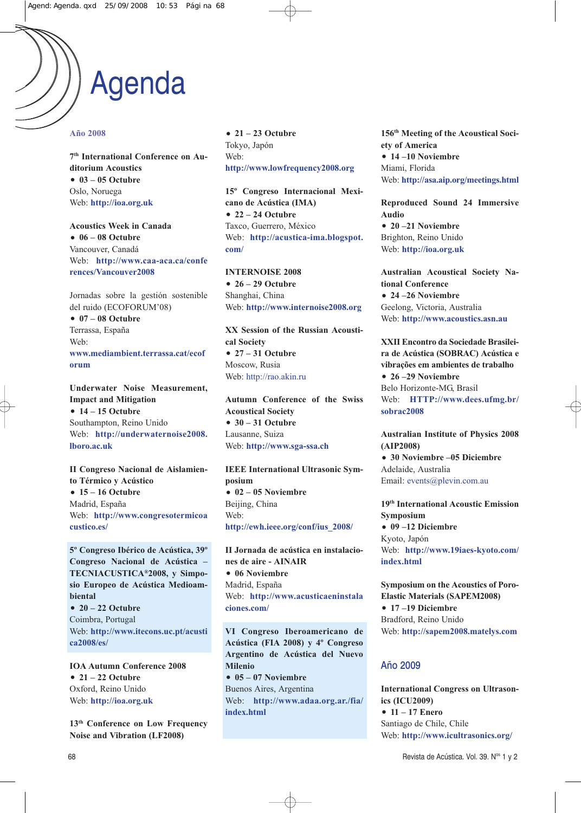## Agenda

#### **Año 2008**

**7th International Conference on Auditorium Acoustics 03 – 05 Octubre** Oslo, Noruega Web: **http://ioa.org.uk**

**Acoustics Week in Canada 06 – 08 Octubre** Vancouver, Canadá Web: **http://www.caa-aca.ca/confe rences/Vancouver2008**

Jornadas sobre la gestión sostenible del ruido (ECOFORUM'08)

 **07 – 08 Octubre** Terrassa, España Web: **www.mediambient.terrassa.cat/ecof orum**

**Underwater Noise Measurement, Impact and Mitigation 14 – 15 Octubre** Southampton, Reino Unido Web: **http://underwaternoise2008. lboro.ac.uk**

**II Congreso Nacional de Aislamiento Térmico y Acústico 15 – 16 Octubre** Madrid, España Web: **http://www.congresotermicoa custico.es/**

**5º Congreso Ibérico de Acústica, 39º** Congreso Nacional de Acústica – TECNIACUSTICA®2008, y Simpo**sio Europeo de Acústica Medioambiental 20 – 22 Octubre**

Coimbra, Portugal Web: **http://www.itecons.uc.pt/acusti ca2008/es/**

**IOA Autumn Conference 2008 21 – 22 Octubre** Oxford, Reino Unido Web: **http://ioa.org.uk**

**13th Conference on Low Frequency oise and Vibration (LF2008)**

 **21 – 23 Octubre** Tokyo, Japón Web: **http://www.lowfrequency2008.org**

**15º Congreso Internacional Mexicano de Acústica (IMA) 22 – 24 Octubre** Taxco, Guerrero, México Web: **http://acustica-ima.blogspot. com/**

**INTERNOISE 2008 26 – 29 Octubre** Shanghai, China Web: **http://www.internoise2008.org**

**XX Session of the Russian Acoustical Society 27 – 31 Octubre** Moscow, Rusia Web: http://rao.akin.ru

**Autumn Conference of the Swiss Acoustical Society 30 – 31 Octubre** Lausanne, Suiza Web: **http://www.sga-ssa.ch**

**IEEE International Ultrasonic Symposium**  $02 - 05$  Noviembre Beijing, China Web: **http://ewh.ieee.org/conf/ius\_2008/**

**II Jornada de acústica en instalaciones de aire - AIAIR**  $06$  **Noviembre** Madrid, España Web: **http://www.acusticaeninstala ciones.com/**

**VI Congreso Iberoamericano de Acústica (FIA 2008) y 4º Congreso** Argentino de Acústica del Nuevo **Milenio**  $\bullet$  05 – 07 Noviembre Buenos Aires, Argentina Web: **http://www.adaa.org.ar./fia/ index.html**

**156th Meeting of the Acoustical Society of America**  $\bullet$  14 –10 Noviembre Miami, Florida Web: **http://asa.aip.org/meetings.html**

**Reproduced Sound 24 Immersive Audio**

 $\bullet$  20 –21 Noviembre Brighton, Reino Unido Web: **http://ioa.org.uk**

Australian Acoustical Society Na**tional Conference**  $\bullet$  24 –26 Noviembre Geelong, Victoria, Australia Web: **http://www.acoustics.asn.au**

**XXII Encontro da Sociedade Brasileira de Acústica (SOBRAC) Acústica e vibrações em ambientes de trabalho**  $\bullet$  26 –29 Noviembre Belo Horizonte-MG, Brasil Web: **HTTP://www.dees.ufmg.br/ sobrac2008**

**Australian Institute of Physics 2008 (AIP2008)**

• 30 Noviembre –05 Diciembre Adelaide, Australia Email: events@plevin.com.au

**19th International Acoustic Emission Symposium 09 –12 Diciembre**

Kyoto, Japón Web: **http://www.19iaes-kyoto.com/ index.html**

**Symposium on the Acoustics of Poro-Elastic Materials (SAPEM2008) 17 –19 Diciembre** Bradford, Reino Unido Web: **http://sapem2008.matelys.com**

#### Año 2009

**International Congress on Ultrasonics (ICU2009) 11 – 17 Enero** Santiago de Chile, Chile Web: **http://www.icultrasonics.org/**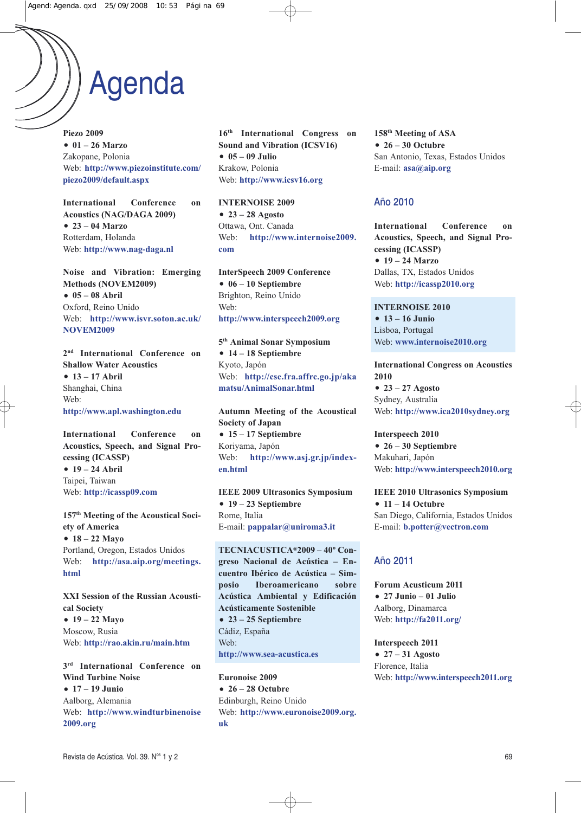# Agenda

**Piezo 2009 01 – 26 Marzo** Zakopane, Polonia Web: **http://www.piezoinstitute.com/ piezo2009/default.aspx**

**International Conference on Acoustics (AG/DAGA 2009) 23 – 04 Marzo** Rotterdam, Holanda Web: **http://www.nag-daga.nl**

**oise and Vibration: Emerging Methods (OVEM2009) 05 – 08 Abril** Oxford, Reino Unido Web: **http://www.isvr.soton.ac.uk/ NOVEM2009** 

**2nd International Conference on Shallow Water Acoustics 13 – 17 Abril** Shanghai, China Web: **http://www.apl.washington.edu**

**International Conference on Acoustics, Speech, and Signal Processing (ICASSP) 19 – 24 Abril** Taipei, Taiwan Web: **http://icassp09.com**

**157th Meeting of the Acoustical Society of America 18 – 22 Mayo** Portland, Oregon, Estados Unidos Web: **http://asa.aip.org/meetings. html**

**XXI Session of the Russian Acoustical Society 19 – 22 Mayo** Moscow, Rusia Web: **http://rao.akin.ru/main.htm**

**3rd International Conference on Wind Turbine Noise 17 – 19 Junio** Aalborg, Alemania Web: **http://www.windturbinenoise 2009.org**

**16th International Congress on Sound and Vibration (ICSV16) 05 – 09 Julio** Krakow, Polonia Web: **http://www.icsv16.org**

**INTERNOISE 2009 23 – 28 Agosto** Ottawa, Ont. Canada Web: **http://www.internoise2009. com**

**InterSpeech 2009 Conference 06 – 10 Septiembre** Brighton, Reino Unido Web: **http://www.interspeech2009.org**

**5th Animal Sonar Symposium 14 – 18 Septiembre** Kyoto, Japón Web: **http://cse.fra.affrc.go.jp/aka matsu/AnimalSonar.html**

**Autumn Meeting of the Acoustical Society of Japan 15 – 17 Septiembre** Koriyama, Japón Web: **http://www.asj.gr.jp/indexen.html**

**IEEE 2009 Ultrasonics Symposium 19 – 23 Septiembre** Rome, Italia E-mail: **pappalar@uniroma3.it**

TECNIACUSTICA<sup>®</sup>2009 – 40<sup>°</sup> Con**greso acional de Acústica – Encuentro Ibérico de Acústica – Simposio Iberoamericano sobre Acústica Ambiental y Edificación Acústicamente Sostenible 23 – 25 Septiembre** Cádiz, España Web: **http://www.sea-acustica.es**

**Euronoise 2009 26 – 28 Octubre** Edinburgh, Reino Unido Web: **http://www.euronoise2009.org. uk**

**158th Meeting of ASA 26 – 30 Octubre** San Antonio, Texas, Estados Unidos E-mail: **asa@aip.org**

### Año 2010

**International Conference on Acoustics, Speech, and Signal Processing (ICASSP) 19 – 24 Marzo** Dallas, TX, Estados Unidos Web: **http://icassp2010.org**

**INTERNOISE 2010 13 – 16 Junio** Lisboa, Portugal Web: **www.internoise2010.org**

**International Congress on Acoustics 2010 23 – 27 Agosto** Sydney, Australia Web: **http://www.ica2010sydney.org**

**Interspeech 2010 26 – 30 Septiembre** Makuhari, Japón Web: **http://www.interspeech2010.org**

**IEEE 2010 Ultrasonics Symposium 11 – 14 Octubre** San Diego, California, Estados Unidos E-mail: **b.potter@vectron.com**

## Año 2011

**Forum Acusticum 2011 27 Junio – 01 Julio** Aalborg, Dinamarca Web: **http://fa2011.org/**

**Interspeech 2011 27 – 31 Agosto** Florence, Italia Web: **http://www.interspeech2011.org**